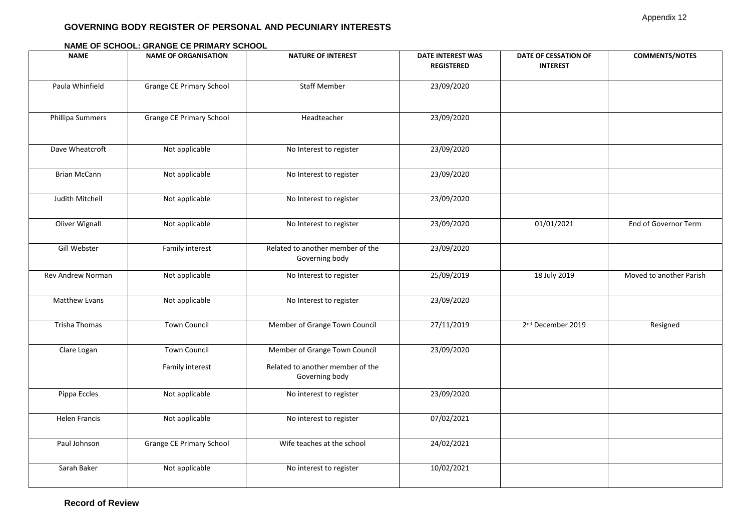## **GOVERNING BODY REGISTER OF PERSONAL AND PECUNIARY INTERESTS**

## **NAME NAME OF ORGANISATION NATURE OF INTEREST DATE INTEREST WAS REGISTERED DATE OF CESSATION OF INTEREST COMMENTS/NOTES** Paula Whinfield **Grange CE Primary School** Staff Member 23/09/2020 Phillipa Summers | Grange CE Primary School | Headteacher | 23/09/2020 Dave Wheatcroft 1 Not applicable No Interest to register 1 23/09/2020 Brian McCann Not applicable Not No Interest to register Note 23/09/2020 Judith Mitchell Not applicable No Interest to register 23/09/2020 Oliver Wignall | Not applicable | No Interest to register | 23/09/2020 | 01/01/2021 | End of Governor Term Gill Webster **Family interest** Related to another member of the Governing body 23/09/2020 Rev Andrew Norman Not applicable Notel Notel And Interest to register November 25/09/2019 18 July 2019 Noved to another Parish Matthew Evans Not applicable Not applicable No Interest to register 23/09/2020 Trisha Thomas  $\vert$  Town Council | Member of Grange Town Council | 27/11/2019 2<sup>nd</sup> December 2019 Resigned Clare Logan Town Council Family interest Member of Grange Town Council Related to another member of the Governing body 23/09/2020 Pippa Eccles **Not applicable** Not applicable No interest to register 23/09/2020 Helen Francis Not applicable Not No interest to register No 17/02/2021 Paul Johnson Grange CE Primary School Wife teaches at the school 24/02/2021 Sarah Baker Not applicable Not applicable No interest to register 10/02/2021

## **NAME OF SCHOOL: GRANGE CE PRIMARY SCHOOL**